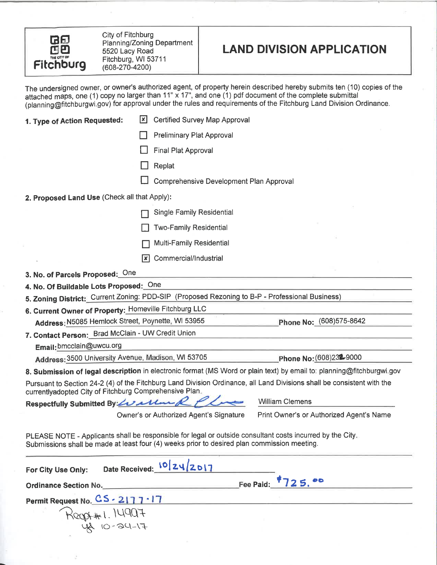

City of Fitchburg Planning/Zoning Department 5520 Lacy Road Fitchburg, WI 53711  $(608-270-4200)$ 

41-10-24 13

# **LAND DIVISION APPLICATION**

The undersigned owner, or owner's authorized agent, of property herein described hereby submits ten (10) copies of the attached maps, one (1) copy no larger than  $11'' \times 17''$ , and one (1) pdf document of the complete submi (planning@fitchburgwi.gov) for approval under the rules and requirements of the Fitchburg Land Division Ordinance.

| 1. Type of Action Requested:                           | <b>Certified Survey Map Approval</b><br>l×                                                                                                                                                               |                                                                                                                        |
|--------------------------------------------------------|----------------------------------------------------------------------------------------------------------------------------------------------------------------------------------------------------------|------------------------------------------------------------------------------------------------------------------------|
|                                                        | <b>Preliminary Plat Approval</b>                                                                                                                                                                         |                                                                                                                        |
|                                                        | Final Plat Approval                                                                                                                                                                                      |                                                                                                                        |
|                                                        | Replat                                                                                                                                                                                                   |                                                                                                                        |
|                                                        | Comprehensive Development Plan Approval                                                                                                                                                                  |                                                                                                                        |
| 2. Proposed Land Use (Check all that Apply):           |                                                                                                                                                                                                          |                                                                                                                        |
|                                                        | <b>Single Family Residential</b>                                                                                                                                                                         |                                                                                                                        |
|                                                        | <b>Two-Family Residential</b>                                                                                                                                                                            |                                                                                                                        |
|                                                        | <b>Multi-Family Residential</b>                                                                                                                                                                          |                                                                                                                        |
|                                                        | Commercial/Industrial<br>l x l                                                                                                                                                                           |                                                                                                                        |
|                                                        |                                                                                                                                                                                                          |                                                                                                                        |
| 3. No. of Parcels Proposed: One                        |                                                                                                                                                                                                          |                                                                                                                        |
| 4. No. Of Buildable Lots Proposed: One                 |                                                                                                                                                                                                          |                                                                                                                        |
|                                                        | 5. Zoning District: Current Zoning: PDD-SIP (Proposed Rezoning to B-P - Professional Business)                                                                                                           |                                                                                                                        |
| 6. Current Owner of Property: Homeville Fitchburg LLC  |                                                                                                                                                                                                          |                                                                                                                        |
| Address: N5085 Hemlock Street, Poynette, WI 53955      |                                                                                                                                                                                                          | Phone No: (608)575-8642                                                                                                |
| 7. Contact Person: Brad McClain - UW Credit Union      |                                                                                                                                                                                                          |                                                                                                                        |
| Email: bmcclain@uwcu.org                               |                                                                                                                                                                                                          |                                                                                                                        |
| Address: 3500 University Avenue, Madison, WI 53705     |                                                                                                                                                                                                          | Phone No: (608)232-9000                                                                                                |
|                                                        |                                                                                                                                                                                                          | 8. Submission of legal description in electronic format (MS Word or plain text) by email to: planning@fitchburgwi.gov  |
| currentlyadopted City of Fitchburg Comprehensive Plan. |                                                                                                                                                                                                          | Pursuant to Section 24-2 (4) of the Fitchburg Land Division Ordinance, all Land Divisions shall be consistent with the |
| Respectfully Submitted By: Loal                        |                                                                                                                                                                                                          | <b>William Clemens</b>                                                                                                 |
|                                                        | Owner's or Authorized Agent's Signature                                                                                                                                                                  | Print Owner's or Authorized Agent's Name                                                                               |
|                                                        | PLEASE NOTE - Applicants shall be responsible for legal or outside consultant costs incurred by the City.<br>Submissions shall be made at least four (4) weeks prior to desired plan commission meeting. |                                                                                                                        |
| For City Use Only:                                     | Date Received: 10 24 2017                                                                                                                                                                                |                                                                                                                        |
| <b>Ordinance Section No.</b>                           | Fee Paid:                                                                                                                                                                                                |                                                                                                                        |
| Permit Request No. CS - 2177 - 17                      |                                                                                                                                                                                                          |                                                                                                                        |
| ROOD+#1.14907                                          |                                                                                                                                                                                                          |                                                                                                                        |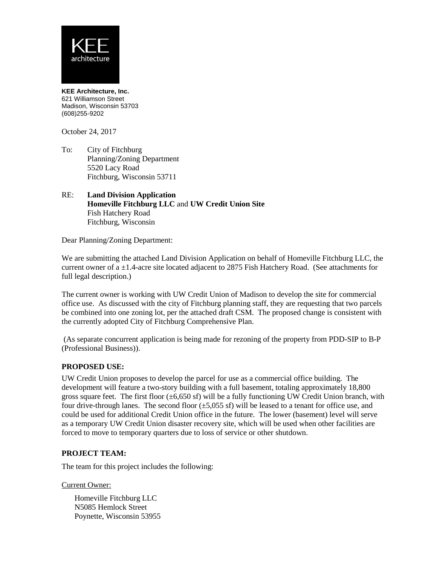

**KEE Architecture, Inc.** 621 Williamson Street Madison, Wisconsin 53703 (608)255-9202

October 24, 2017

- To: City of Fitchburg Planning/Zoning Department 5520 Lacy Road Fitchburg, Wisconsin 53711
- RE: **Land Division Application Homeville Fitchburg LLC** and **UW Credit Union Site** Fish Hatchery Road Fitchburg, Wisconsin

Dear Planning/Zoning Department:

We are submitting the attached Land Division Application on behalf of Homeville Fitchburg LLC, the current owner of a ±1.4-acre site located adjacent to 2875 Fish Hatchery Road. (See attachments for full legal description.)

The current owner is working with UW Credit Union of Madison to develop the site for commercial office use. As discussed with the city of Fitchburg planning staff, they are requesting that two parcels be combined into one zoning lot, per the attached draft CSM. The proposed change is consistent with the currently adopted City of Fitchburg Comprehensive Plan.

(As separate concurrent application is being made for rezoning of the property from PDD-SIP to B-P (Professional Business)).

### **PROPOSED USE:**

UW Credit Union proposes to develop the parcel for use as a commercial office building. The development will feature a two-story building with a full basement, totaling approximately 18,800 gross square feet. The first floor  $(\pm 6,650 \text{ sf})$  will be a fully functioning UW Credit Union branch, with four drive-through lanes. The second floor  $(\pm 5,055 \text{ s})$  will be leased to a tenant for office use, and could be used for additional Credit Union office in the future. The lower (basement) level will serve as a temporary UW Credit Union disaster recovery site, which will be used when other facilities are forced to move to temporary quarters due to loss of service or other shutdown.

### **PROJECT TEAM:**

The team for this project includes the following:

Current Owner:

Homeville Fitchburg LLC N5085 Hemlock Street Poynette, Wisconsin 53955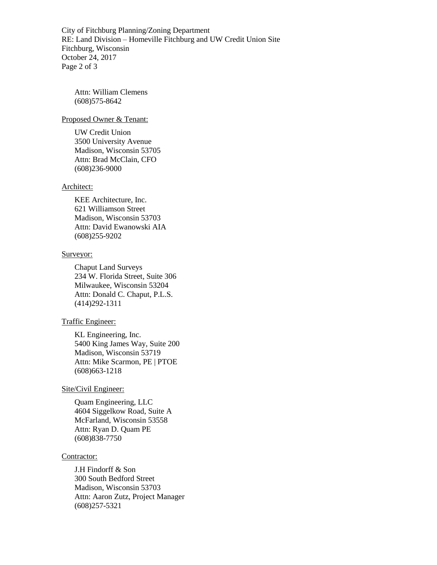City of Fitchburg Planning/Zoning Department RE: Land Division – Homeville Fitchburg and UW Credit Union Site Fitchburg, Wisconsin October 24, 2017 Page 2 of 3

Attn: William Clemens (608)575-8642

### Proposed Owner & Tenant:

UW Credit Union 3500 University Avenue Madison, Wisconsin 53705 Attn: Brad McClain, CFO (608)236-9000

#### Architect:

KEE Architecture, Inc. 621 Williamson Street Madison, Wisconsin 53703 Attn: David Ewanowski AIA (608)255-9202

#### Surveyor:

Chaput Land Surveys 234 W. Florida Street, Suite 306 Milwaukee, Wisconsin 53204 Attn: Donald C. Chaput, P.L.S. (414)292-1311

## Traffic Engineer:

KL Engineering, Inc. 5400 King James Way, Suite 200 Madison, Wisconsin 53719 Attn: Mike Scarmon, PE | PTOE (608)663-1218

#### Site/Civil Engineer:

Quam Engineering, LLC 4604 Siggelkow Road, Suite A McFarland, Wisconsin 53558 Attn: Ryan D. Quam PE (608)838-7750

#### Contractor:

J.H Findorff & Son 300 South Bedford Street Madison, Wisconsin 53703 Attn: Aaron Zutz, Project Manager (608)257-5321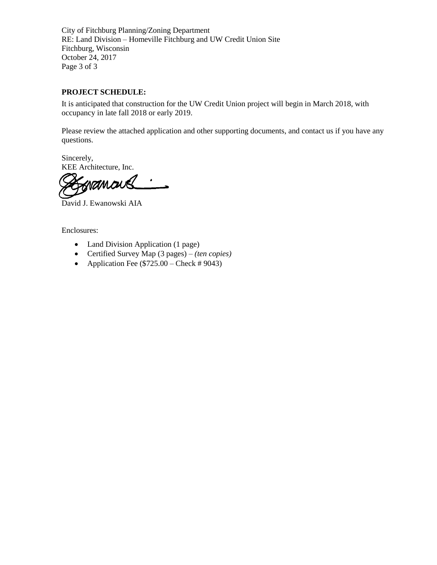City of Fitchburg Planning/Zoning Department RE: Land Division – Homeville Fitchburg and UW Credit Union Site Fitchburg, Wisconsin October 24, 2017 Page 3 of 3

## **PROJECT SCHEDULE:**

It is anticipated that construction for the UW Credit Union project will begin in March 2018, with occupancy in late fall 2018 or early 2019.

Please review the attached application and other supporting documents, and contact us if you have any questions.

Sincerely, KEE Architecture, Inc.

namor

David J. Ewanowski AIA

Enclosures:

- Land Division Application (1 page)
- Certified Survey Map (3 pages) *(ten copies)*
- Application Fee  $(\$725.00 Check # 9043)$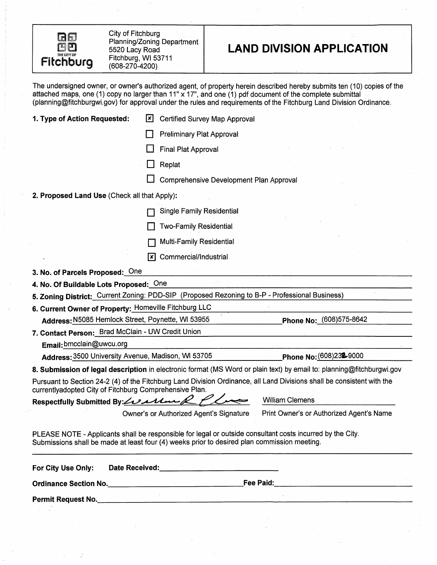

City of Fitchburg Planning/Zoning Department 5520 Lacy Road Fitchburg, WI 53711  $(608 - 270 - 4200)$ 

# **LAND DIVISION APPLICATION**

The undersigned owner, or owner's authorized agent, of property herein described hereby submits ten (10) copies of the attached maps, one (1) copy no larger than 11" x 17", and one (1) pdf document of the complete submitta (planning@fitchburgwi.gov) for approval under the rules and requirements of the Fitchburg Land Division Ordinance.

| 1. Type of Action Requested:                           | Certified Survey Map Approval<br>l×l                                                                                                                                                                     |                                                                                                                        |
|--------------------------------------------------------|----------------------------------------------------------------------------------------------------------------------------------------------------------------------------------------------------------|------------------------------------------------------------------------------------------------------------------------|
|                                                        | <b>Preliminary Plat Approval</b>                                                                                                                                                                         |                                                                                                                        |
|                                                        | Final Plat Approval                                                                                                                                                                                      |                                                                                                                        |
|                                                        | Replat                                                                                                                                                                                                   |                                                                                                                        |
|                                                        | Comprehensive Development Plan Approval                                                                                                                                                                  |                                                                                                                        |
| 2. Proposed Land Use (Check all that Apply):           |                                                                                                                                                                                                          |                                                                                                                        |
|                                                        |                                                                                                                                                                                                          |                                                                                                                        |
|                                                        | <b>Single Family Residential</b>                                                                                                                                                                         |                                                                                                                        |
|                                                        | Two-Family Residential                                                                                                                                                                                   |                                                                                                                        |
|                                                        | <b>Multi-Family Residential</b>                                                                                                                                                                          |                                                                                                                        |
|                                                        | Commercial/Industrial<br>l×l                                                                                                                                                                             |                                                                                                                        |
| 3. No. of Parcels Proposed: One                        |                                                                                                                                                                                                          |                                                                                                                        |
| 4. No. Of Buildable Lots Proposed: One                 |                                                                                                                                                                                                          |                                                                                                                        |
|                                                        | 5. Zoning District: Current Zoning: PDD-SIP (Proposed Rezoning to B-P - Professional Business)                                                                                                           |                                                                                                                        |
| 6. Current Owner of Property: Homeville Fitchburg LLC  |                                                                                                                                                                                                          |                                                                                                                        |
| Address: N5085 Hemlock Street, Poynette, WI 53955      |                                                                                                                                                                                                          | Phone No: (608)575-8642                                                                                                |
| 7. Contact Person: Brad McClain - UW Credit Union      |                                                                                                                                                                                                          |                                                                                                                        |
| Email: bmcclain@uwcu.org                               |                                                                                                                                                                                                          |                                                                                                                        |
| Address: 3500 University Avenue, Madison, WI 53705     |                                                                                                                                                                                                          | Phone No: (608)232-9000                                                                                                |
|                                                        |                                                                                                                                                                                                          | 8. Submission of legal description in electronic format (MS Word or plain text) by email to: planning@fitchburgwi.gov  |
| currentlyadopted City of Fitchburg Comprehensive Plan. |                                                                                                                                                                                                          | Pursuant to Section 24-2 (4) of the Fitchburg Land Division Ordinance, all Land Divisions shall be consistent with the |
| Respectfully Submitted By: 12211                       |                                                                                                                                                                                                          | <b>William Clemens</b>                                                                                                 |
|                                                        | Owner's or Authorized Agent's Signature                                                                                                                                                                  | Print Owner's or Authorized Agent's Name                                                                               |
|                                                        | PLEASE NOTE - Applicants shall be responsible for legal or outside consultant costs incurred by the City.<br>Submissions shall be made at least four (4) weeks prior to desired plan commission meeting. |                                                                                                                        |
| For City Use Only:                                     |                                                                                                                                                                                                          |                                                                                                                        |
|                                                        |                                                                                                                                                                                                          |                                                                                                                        |
|                                                        |                                                                                                                                                                                                          |                                                                                                                        |
|                                                        |                                                                                                                                                                                                          |                                                                                                                        |
|                                                        |                                                                                                                                                                                                          |                                                                                                                        |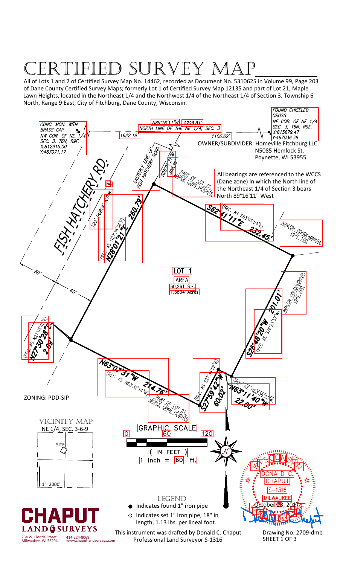# RVEY MA

All of Lots 1 and 2 of Certified Survey Map No. 14462, recorded as Document No. 5310625 in Volume 99, Page 203 of Dane County Certified Survey Maps; formerly Lot 1 of Certified Survey Map 12135 and part of Lot 21, Maple Lawn Heights, located in the Northeast 1/4 and the Northwest 1/4 of the Northeast 1/4 of Section 3, Township 6 North, Range 9 East, City of Fitchburg, Dane County, Wisconsin.

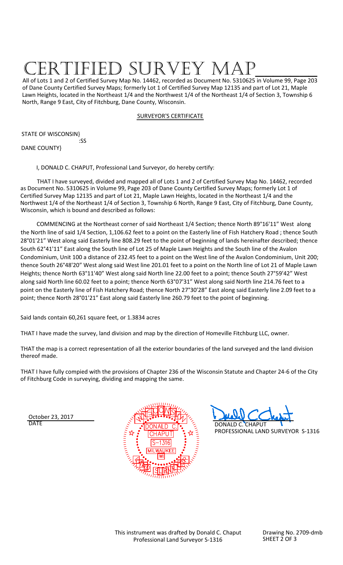# SURVEY M

All of Lots 1 and 2 of Certified Survey Map No. 14462, recorded as Document No. 5310625 in Volume 99, Page 203 of Dane County Certified Survey Maps; formerly Lot 1 of Certified Survey Map 12135 and part of Lot 21, Maple Lawn Heights, located in the Northeast 1/4 and the Northwest 1/4 of the Northeast 1/4 of Section 3, Township 6 North, Range 9 East, City of Fitchburg, Dane County, Wisconsin.

# SURVEYOR'S CERTIFICATE

STATE OF WISCONSIN}

:SS

DANE COUNTY}

I, DONALD C. CHAPUT, Professional Land Surveyor, do hereby certify:

THAT I have surveyed, divided and mapped all of Lots 1 and 2 of Certified Survey Map No. 14462, recorded as Document No. 5310625 in Volume 99, Page 203 of Dane County Certified Survey Maps; formerly Lot 1 of Certified Survey Map 12135 and part of Lot 21, Maple Lawn Heights, located in the Northeast 1/4 and the Northwest 1/4 of the Northeast 1/4 of Section 3, Township 6 North, Range 9 East, City of Fitchburg, Dane County, Wisconsin, which is bound and described as follows:

COMMENCING at the Northeast corner of said Northeast 1/4 Section; thence North 89°16'11" West along the North line of said 1/4 Section, 1,106.62 feet to a point on the Easterly line of Fish Hatchery Road ; thence South 28°01'21" West along said Easterly line 808.29 feet to the point of beginning of lands hereinafter described; thence South 62°41'11" East along the South line of Lot 25 of Maple Lawn Heights and the South line of the Avalon Condominium, Unit 100 a distance of 232.45 feet to a point on the West line of the Avalon Condominium, Unit 200; thence South 26°48'20" West along said West line 201.01 feet to a point on the North line of Lot 21 of Maple Lawn Heights; thence North 63°11'40" West along said North line 22.00 feet to a point; thence South 27°59'42" West along said North line 60.02 feet to a point; thence North 63°07'31" West along said North line 214.76 feet to a point on the Easterly line of Fish Hatchery Road; thence North 27°30'28" East along said Easterly line 2.09 feet to a point; thence North 28°01'21" East along said Easterly line 260.79 feet to the point of beginning.

Said lands contain 60,261 square feet, or 1.3834 acres

THAT I have made the survey, land division and map by the direction of Homeville Fitchburg LLC, owner.

THAT the map is a correct representation of all the exterior boundaries of the land surveyed and the land division thereof made.

THAT I have fully compied with the provisions of Chapter 236 of the Wisconsin Statute and Chapter 24-6 of the City of Fitchburg Code in surveying, dividing and mapping the same.

October 23, 2017<br>DATF





Drawing No. 2709-dmb